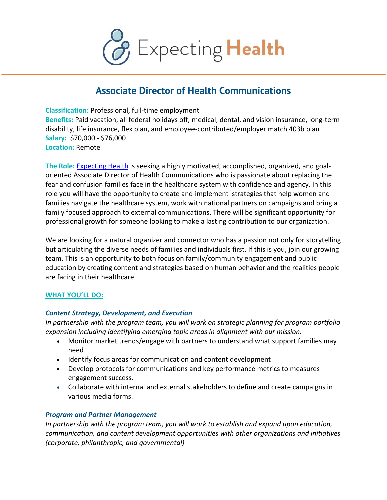

# **Associate Director of Health Communications**

**Classification:** Professional, full-time employment **Benefits:** Paid vacation, all federal holidays off, medical, dental, and vision insurance, long-term disability, life insurance, flex plan, and employee-contributed/employer match 403b plan **Salary:** \$70,000 - \$76,000 **Location:** Remote

**The Role:** Expecting Health is seeking a highly motivated, accomplished, organized, and goaloriented Associate Director of Health Communications who is passionate about replacing the fear and confusion families face in the healthcare system with confidence and agency. In this role you will have the opportunity to create and implement strategies that help women and families navigate the healthcare system, work with national partners on campaigns and bring a family focused approach to external communications. There will be significant opportunity for professional growth for someone looking to make a lasting contribution to our organization.

We are looking for a natural organizer and connector who has a passion not only for storytelling but articulating the diverse needs of families and individuals first. If this is you, join our growing team. This is an opportunity to both focus on family/community engagement and public education by creating content and strategies based on human behavior and the realities people are facing in their healthcare.

# **WHAT YOU'LL DO:**

### *Content Strategy, Development, and Execution*

*In partnership with the program team, you will work on strategic planning for program portfolio expansion including identifying emerging topic areas in alignment with our mission.*

- Monitor market trends/engage with partners to understand what support families may need
- Identify focus areas for communication and content development
- Develop protocols for communications and key performance metrics to measures engagement success.
- Collaborate with internal and external stakeholders to define and create campaigns in various media forms.

### *Program and Partner Management*

*In partnership with the program team, you will work to establish and expand upon education, communication, and content development opportunities with other organizations and initiatives (corporate, philanthropic, and governmental)*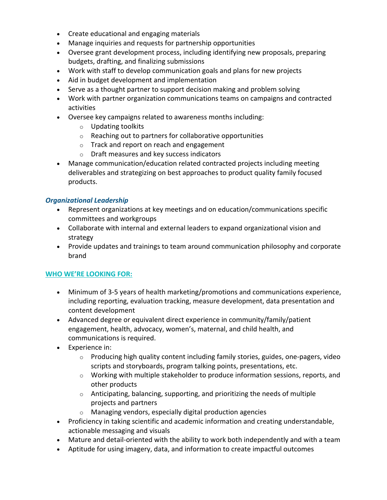- Create educational and engaging materials
- Manage inquiries and requests for partnership opportunities
- Oversee grant development process, including identifying new proposals, preparing budgets, drafting, and finalizing submissions
- Work with staff to develop communication goals and plans for new projects
- Aid in budget development and implementation
- Serve as a thought partner to support decision making and problem solving
- Work with partner organization communications teams on campaigns and contracted activities
- Oversee key campaigns related to awareness months including:
	- o Updating toolkits
	- o Reaching out to partners for collaborative opportunities
	- o Track and report on reach and engagement
	- o Draft measures and key success indicators
- Manage communication/education related contracted projects including meeting deliverables and strategizing on best approaches to product quality family focused products.

# *Organizational Leadership*

- Represent organizations at key meetings and on education/communications specific committees and workgroups
- Collaborate with internal and external leaders to expand organizational vision and strategy
- Provide updates and trainings to team around communication philosophy and corporate brand

# **WHO WE'RE LOOKING FOR:**

- Minimum of 3-5 years of health marketing/promotions and communications experience, including reporting, evaluation tracking, measure development, data presentation and content development
- Advanced degree or equivalent direct experience in community/family/patient engagement, health, advocacy, women's, maternal, and child health, and communications is required.
- Experience in:
	- $\circ$  Producing high quality content including family stories, guides, one-pagers, video scripts and storyboards, program talking points, presentations, etc.
	- o Working with multiple stakeholder to produce information sessions, reports, and other products
	- $\circ$  Anticipating, balancing, supporting, and prioritizing the needs of multiple projects and partners
	- o Managing vendors, especially digital production agencies
- Proficiency in taking scientific and academic information and creating understandable, actionable messaging and visuals
- Mature and detail-oriented with the ability to work both independently and with a team
- Aptitude for using imagery, data, and information to create impactful outcomes